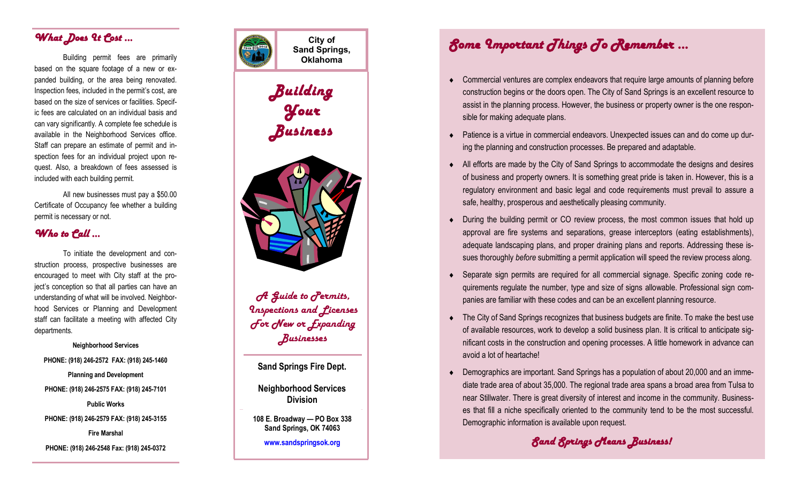

Building permit fees are primarily based on the square footage of a new or expanded building, or the area being renovated. Inspection fees, included in the permit's cost, are based on the size of services or facilities. Specific fees are calculated on an individual basis and can vary significantly. A complete fee schedule is available in the Neighborhood Services office. Staff can prepare an estimate of permit and inspection fees for an individual project upon request. Also, a breakdown of fees assessed is included with each building permit.

All new businesses must pay a \$50.00 Certificate of Occupancy fee whether a building permit is necessary or not.

#### *Who to Call …*

To initiate the development and construction process, prospective businesses are encouraged to meet with City staff at the project's conception so that all parties can have an understanding of what will be involved. Neighborhood Services or Planning and Development staff can facilitate a meeting with affected City departments.

**Neighborhood Services PHONE: (918) 246 -2572 FAX: (918) 245 -1460 Planning and Development PHONE: (918) 246 -2575 FAX: (918) 245 -7101 Public Works PHONE: (918) 246 -2579 FAX: (918) 245 -3155 Fire Marshal**

**PHONE: (918) 246 -2548 Fax: (918) 245 -0372**







*A Guide to Permits, Inspections and Licenses For New or Expanding Businesses*

**Sand Springs Fire Dept.**

**Neighborhood Services Division**

**108 E. Broadway — PO Box 338 Sand Springs, OK 74063**

**www.sandspringsok.org** 

# *Some Important Things To Remember ...*

- Commercial ventures are complex endeavors that require large amounts of planning before construction begins or the doors open. The City of Sand Springs is an excellent resource to assist in the planning process. However, the business or property owner is the one responsible for making adequate plans.
- Patience is a virtue in commercial endeavors. Unexpected issues can and do come up during the planning and construction processes. Be prepared and adaptable.
- All efforts are made by the City of Sand Springs to accommodate the designs and desires of business and property owners. It is something great pride is taken in. However, this is a regulatory environment and basic legal and code requirements must prevail to assure a safe, healthy, prosperous and aesthetically pleasing community.
- During the building permit or CO review process, the most common issues that hold up approval are fire systems and separations, grease interceptors (eating establishments), adequate landscaping plans, and proper draining plans and reports. Addressing these issues thoroughly *before* submitting a permit application will speed the review process along.
- Separate sign permits are required for all commercial signage. Specific zoning code requirements regulate the number, type and size of signs allowable. Professional sign companies are familiar with these codes and can be an excellent planning resource.
- The City of Sand Springs recognizes that business budgets are finite. To make the best use of available resources, work to develop a solid business plan. It is critical to anticipate significant costs in the construction and opening processes. A little homework in advance can avoid a lot of heartache!
- Demographics are important. Sand Springs has a population of about 20,000 and an immediate trade area of about 35,000. The regional trade area spans a broad area from Tulsa to near Stillwater. There is great diversity of interest and income in the community. Businesses that fill a niche specifically oriented to the community tend to be the most successful. Demographic information is available upon request.

*Sand Springs Means Business!*